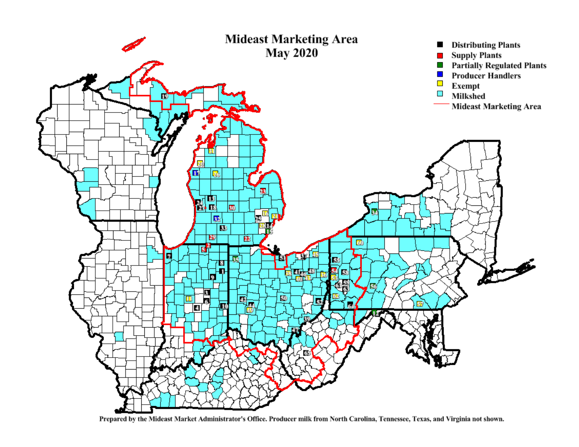

Prepared by the Mideast Market Administrator's Office. Producer milk from North Carolina, Tennessee, Texas, and Virginia not shown.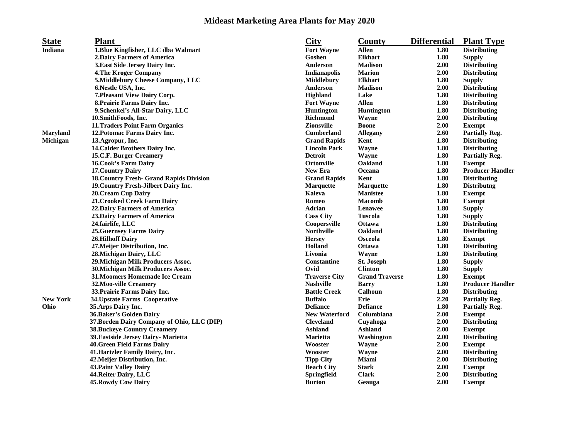## **Mideast Marketing Area Plants for May 2020**

| <b>State</b>    | <b>Plant</b>                                    | <b>City</b>          | County                | <b>Differential</b> | <b>Plant Type</b>       |
|-----------------|-------------------------------------------------|----------------------|-----------------------|---------------------|-------------------------|
| <b>Indiana</b>  | 1. Blue Kingfisher, LLC dba Walmart             | <b>Fort Wayne</b>    | <b>Allen</b>          | 1.80                | <b>Distributing</b>     |
|                 | 2. Dairy Farmers of America                     | Goshen               | <b>Elkhart</b>        | 1.80                | <b>Supply</b>           |
|                 | 3. East Side Jersey Dairy Inc.                  | Anderson             | <b>Madison</b>        | 2.00                | <b>Distributing</b>     |
|                 | <b>4. The Kroger Company</b>                    | <b>Indianapolis</b>  | <b>Marion</b>         | 2.00                | <b>Distributing</b>     |
|                 | 5.Middlebury Cheese Company, LLC                | <b>Middlebury</b>    | <b>Elkhart</b>        | 1.80                | <b>Supply</b>           |
|                 | 6. Nestle USA, Inc.                             | Anderson             | <b>Madison</b>        | 2.00                | <b>Distributing</b>     |
|                 | 7. Pleasant View Dairy Corp.                    | Highland             | Lake                  | 1.80                | <b>Distributing</b>     |
|                 | 8. Prairie Farms Dairy Inc.                     | <b>Fort Wayne</b>    | <b>Allen</b>          | 1.80                | <b>Distributing</b>     |
|                 | 9. Schenkel's All-Star Dairy, LLC               | Huntington           | Huntington            | 1.80                | <b>Distributing</b>     |
|                 | 10. Smith Foods, Inc.                           | <b>Richmond</b>      | Wayne                 | 2.00                | <b>Distributing</b>     |
|                 | 11. Traders Point Farm Organics                 | <b>Zionsville</b>    | <b>Boone</b>          | 2.00                | <b>Exempt</b>           |
| <b>Maryland</b> | 12. Potomac Farms Dairy Inc.                    | <b>Cumberland</b>    | <b>Allegany</b>       | 2.60                | <b>Partially Reg.</b>   |
| Michigan        | 13.Agropur, Inc.                                | <b>Grand Rapids</b>  | Kent                  | 1.80                | <b>Distributing</b>     |
|                 | 14. Calder Brothers Dairy Inc.                  | <b>Lincoln Park</b>  | Wayne                 | 1.80                | <b>Distributing</b>     |
|                 | 15.C.F. Burger Creamery                         | <b>Detroit</b>       | Wayne                 | 1.80                | <b>Partially Reg.</b>   |
|                 | <b>16. Cook's Farm Dairy</b>                    | <b>Ortonville</b>    | Oakland               | 1.80                | <b>Exempt</b>           |
|                 | <b>17. Country Dairy</b>                        | <b>New Era</b>       | Oceana                | 1.80                | <b>Producer Handler</b> |
|                 | <b>18. Country Fresh- Grand Rapids Division</b> | <b>Grand Rapids</b>  | Kent                  | 1.80                | <b>Distributing</b>     |
|                 | 19. Country Fresh-Jilbert Dairy Inc.            | <b>Marquette</b>     | <b>Marquette</b>      | 1.80                | <b>Distributng</b>      |
|                 | <b>20. Cream Cup Dairy</b>                      | Kaleva               | <b>Manistee</b>       | 1.80                | <b>Exempt</b>           |
|                 | 21. Crooked Creek Farm Dairy                    | Romeo                | <b>Macomb</b>         | 1.80                | <b>Exempt</b>           |
|                 | 22. Dairy Farmers of America                    | <b>Adrian</b>        | Lenawee               | 1.80                | <b>Supply</b>           |
|                 | <b>23. Dairy Farmers of America</b>             | <b>Cass City</b>     | Tuscola               | 1.80                | <b>Supply</b>           |
|                 | 24.fairlife, LLC                                | Coopersville         | <b>Ottawa</b>         | 1.80                | <b>Distributing</b>     |
|                 | <b>25. Guernsey Farms Dairy</b>                 | <b>Northville</b>    | Oakland               | 1.80                | <b>Distributing</b>     |
|                 | <b>26.Hilhoff Dairy</b>                         | <b>Hersey</b>        | Osceola               | 1.80                | <b>Exempt</b>           |
|                 | 27. Meijer Distribution, Inc.                   | Holland              | Ottawa                | 1.80                | <b>Distributing</b>     |
|                 | 28. Michigan Dairy, LLC                         | Livonia              | Wayne                 | 1.80                | <b>Distributing</b>     |
|                 | 29. Michigan Milk Producers Assoc.              | Constantine          | St. Joseph            | 1.80                | <b>Supply</b>           |
|                 | 30. Michigan Milk Producers Assoc.              | Ovid                 | <b>Clinton</b>        | 1.80                | <b>Supply</b>           |
|                 | <b>31. Moomers Homemade Ice Cream</b>           | <b>Traverse City</b> | <b>Grand Traverse</b> | 1.80                | <b>Exempt</b>           |
|                 | 32. Moo-ville Creamery                          | <b>Nashville</b>     | <b>Barry</b>          | 1.80                | <b>Producer Handler</b> |
|                 | 33. Prairie Farms Dairy Inc.                    | <b>Battle Creek</b>  | Calhoun               | 1.80                | <b>Distributing</b>     |
| <b>New York</b> | 34. Upstate Farms Cooperative                   | <b>Buffalo</b>       | Erie                  | 2.20                | <b>Partially Reg.</b>   |
| Ohio            | 35. Arps Dairy Inc.                             | <b>Defiance</b>      | <b>Defiance</b>       | 1.80                | <b>Partially Reg.</b>   |
|                 | 36. Baker's Golden Dairy                        | <b>New Waterford</b> | Columbiana            | 2.00                | <b>Exempt</b>           |
|                 | 37. Borden Dairy Company of Ohio, LLC (DIP)     | <b>Cleveland</b>     | Cuyahoga              | 2.00                | <b>Distributing</b>     |
|                 | <b>38. Buckeye Country Creamery</b>             | <b>Ashland</b>       | <b>Ashland</b>        | 2.00                | <b>Exempt</b>           |
|                 | 39. Eastside Jersey Dairy- Marietta             | Marietta             | Washington            | 2.00                | <b>Distributing</b>     |
|                 | <b>40. Green Field Farms Dairy</b>              | Wooster              | Wayne                 | 2.00                | <b>Exempt</b>           |
|                 | 41. Hartzler Family Dairy, Inc.                 | Wooster              | Wayne                 | 2.00                | <b>Distributing</b>     |
|                 | 42. Meijer Distribution, Inc.                   | <b>Tipp City</b>     | Miami                 | 2.00                | <b>Distributing</b>     |
|                 | <b>43. Paint Valley Dairy</b>                   | <b>Beach City</b>    | <b>Stark</b>          | 2.00                | <b>Exempt</b>           |
|                 | 44. Reiter Dairy, LLC                           | Springfield          | <b>Clark</b>          | 2.00                | <b>Distributing</b>     |
|                 | <b>45. Rowdy Cow Dairy</b>                      | <b>Burton</b>        | Geauga                | 2.00                | <b>Exempt</b>           |
|                 |                                                 |                      |                       |                     |                         |